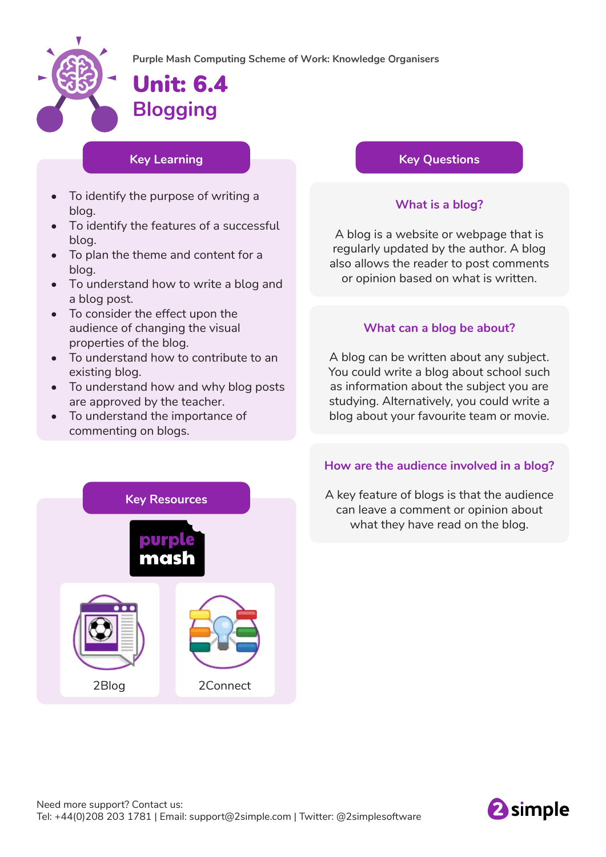

# Unit: 6.4 **Blogging**

### **Key Learning**

- To identify the purpose of writing a blog.
- To identify the features of a successful blog.
- To plan the theme and content for a blog.
- To understand how to write a blog and a blog post.
- To consider the effect upon the audience of changing the visual properties of the blog.
- To understand how to contribute to an existing blog.
- To understand how and why blog posts are approved by the teacher.
- To understand the importance of commenting on blogs.

## **Key Questions**

## **What is a blog?**

A blog is a website or webpage that is regularly updated by the author. A blog also allows the reader to post comments or opinion based on what is written.

### **What can a blog be about?**

A blog can be written about any subject. You could write a blog about school such as information about the subject you are studying. Alternatively, you could write a blog about your favourite team or movie.



## **How are the audience involved in a blog?**

A key feature of blogs is that the audience can leave a comment or opinion about what they have read on the blog.